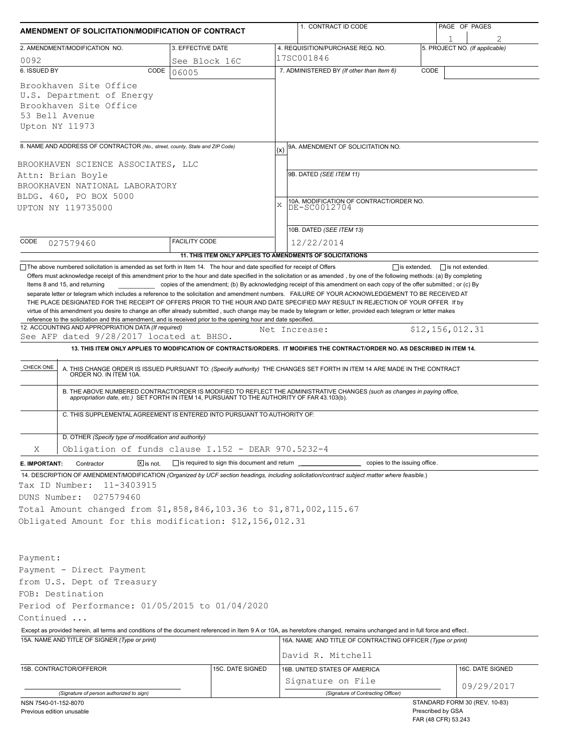| AMENDMENT OF SOLICITATION/MODIFICATION OF CONTRACT                                                                                                                                                                                                                                                                                                                                    |                                                           |               | 1. CONTRACT ID CODE                                                                                                                                                                                                      |  | PAGE OF PAGES                               |  |  |
|---------------------------------------------------------------------------------------------------------------------------------------------------------------------------------------------------------------------------------------------------------------------------------------------------------------------------------------------------------------------------------------|-----------------------------------------------------------|---------------|--------------------------------------------------------------------------------------------------------------------------------------------------------------------------------------------------------------------------|--|---------------------------------------------|--|--|
| 2. AMENDMENT/MODIFICATION NO.                                                                                                                                                                                                                                                                                                                                                         | 3. EFFECTIVE DATE                                         |               | 4. REQUISITION/PURCHASE REQ. NO.                                                                                                                                                                                         |  | 5. PROJECT NO. (If applicable)              |  |  |
| 0092                                                                                                                                                                                                                                                                                                                                                                                  | See Block 16C                                             |               | 17SC001846                                                                                                                                                                                                               |  |                                             |  |  |
| 6. ISSUED BY<br>CODE                                                                                                                                                                                                                                                                                                                                                                  | 06005                                                     |               | 7. ADMINISTERED BY (If other than Item 6)<br>CODE                                                                                                                                                                        |  |                                             |  |  |
| Brookhaven Site Office<br>U.S. Department of Energy<br>Brookhaven Site Office<br>53 Bell Avenue<br>Upton NY 11973                                                                                                                                                                                                                                                                     |                                                           |               |                                                                                                                                                                                                                          |  |                                             |  |  |
| 8. NAME AND ADDRESS OF CONTRACTOR (No., street, county, State and ZIP Code)                                                                                                                                                                                                                                                                                                           |                                                           | (x)           | 9A. AMENDMENT OF SOLICITATION NO.                                                                                                                                                                                        |  |                                             |  |  |
| BROOKHAVEN SCIENCE ASSOCIATES, LLC                                                                                                                                                                                                                                                                                                                                                    |                                                           |               |                                                                                                                                                                                                                          |  |                                             |  |  |
| Attn: Brian Boyle                                                                                                                                                                                                                                                                                                                                                                     |                                                           |               | 9B. DATED (SEE ITEM 11)                                                                                                                                                                                                  |  |                                             |  |  |
| BROOKHAVEN NATIONAL LABORATORY                                                                                                                                                                                                                                                                                                                                                        |                                                           |               |                                                                                                                                                                                                                          |  |                                             |  |  |
| BLDG. 460, PO BOX 5000                                                                                                                                                                                                                                                                                                                                                                |                                                           |               |                                                                                                                                                                                                                          |  |                                             |  |  |
| UPTON NY 119735000                                                                                                                                                                                                                                                                                                                                                                    |                                                           | X             | 10A. MODIFICATION OF CONTRACT/ORDER NO.<br>DE-SC0012704                                                                                                                                                                  |  |                                             |  |  |
|                                                                                                                                                                                                                                                                                                                                                                                       |                                                           |               |                                                                                                                                                                                                                          |  |                                             |  |  |
|                                                                                                                                                                                                                                                                                                                                                                                       |                                                           |               | 10B. DATED (SEE ITEM 13)                                                                                                                                                                                                 |  |                                             |  |  |
| CODE<br>027579460                                                                                                                                                                                                                                                                                                                                                                     | <b>FACILITY CODE</b>                                      |               | 12/22/2014                                                                                                                                                                                                               |  |                                             |  |  |
| The above numbered solicitation is amended as set forth in Item 14. The hour and date specified for receipt of Offers                                                                                                                                                                                                                                                                 | 11. THIS ITEM ONLY APPLIES TO AMENDMENTS OF SOLICITATIONS |               |                                                                                                                                                                                                                          |  | $\Box$ is extended, $\Box$ is not extended. |  |  |
| virtue of this amendment you desire to change an offer already submitted, such change may be made by telegram or letter, provided each telegram or letter makes<br>reference to the solicitation and this amendment, and is received prior to the opening hour and date specified.<br>12. ACCOUNTING AND APPROPRIATION DATA (If required)<br>See AFP dated 9/28/2017 located at BHSO. |                                                           | Net Increase: |                                                                                                                                                                                                                          |  | \$12, 156, 012.31                           |  |  |
|                                                                                                                                                                                                                                                                                                                                                                                       |                                                           |               | 13. THIS ITEM ONLY APPLIES TO MODIFICATION OF CONTRACTS/ORDERS. IT MODIFIES THE CONTRACT/ORDER NO. AS DESCRIBED IN ITEM 14.                                                                                              |  |                                             |  |  |
| CHECK ONE                                                                                                                                                                                                                                                                                                                                                                             |                                                           |               | A. THIS CHANGE ORDER IS ISSUED PURSUANT TO: (Specify authority) THE CHANGES SET FORTH IN ITEM 14 ARE MADE IN THE CONTRACT ORDER NO. IN ITEM 10A.                                                                         |  |                                             |  |  |
|                                                                                                                                                                                                                                                                                                                                                                                       |                                                           |               | B. THE ABOVE NUMBERED CONTRACT/ORDER IS MODIFIED TO REFLECT THE ADMINISTRATIVE CHANGES (such as changes in paying office,<br>appropriation date, etc.) SET FORTH IN ITEM 14, PURSUANT TO THE AUTHORITY OF FAR 43.103(b). |  |                                             |  |  |
|                                                                                                                                                                                                                                                                                                                                                                                       |                                                           |               |                                                                                                                                                                                                                          |  |                                             |  |  |
| C. THIS SUPPLEMENTAL AGREEMENT IS ENTERED INTO PURSUANT TO AUTHORITY OF:                                                                                                                                                                                                                                                                                                              |                                                           |               |                                                                                                                                                                                                                          |  |                                             |  |  |
| D. OTHER (Specify type of modification and authority)                                                                                                                                                                                                                                                                                                                                 |                                                           |               |                                                                                                                                                                                                                          |  |                                             |  |  |
| Obligation of funds clause I.152 - DEAR 970.5232-4<br>Χ                                                                                                                                                                                                                                                                                                                               |                                                           |               |                                                                                                                                                                                                                          |  |                                             |  |  |
| $\boxed{\mathsf{X}}$ is not.<br>E. IMPORTANT:<br>Contractor                                                                                                                                                                                                                                                                                                                           | is required to sign this document and return              |               | copies to the issuing office.                                                                                                                                                                                            |  |                                             |  |  |
| 14. DESCRIPTION OF AMENDMENT/MODIFICATION (Organized by UCF section headings, including solicitation/contract subject matter where feasible.)                                                                                                                                                                                                                                         |                                                           |               |                                                                                                                                                                                                                          |  |                                             |  |  |
| Tax ID Number:<br>11-3403915                                                                                                                                                                                                                                                                                                                                                          |                                                           |               |                                                                                                                                                                                                                          |  |                                             |  |  |
| DUNS Number:<br>027579460                                                                                                                                                                                                                                                                                                                                                             |                                                           |               |                                                                                                                                                                                                                          |  |                                             |  |  |
| Total Amount changed from \$1,858,846,103.36 to \$1,871,002,115.67                                                                                                                                                                                                                                                                                                                    |                                                           |               |                                                                                                                                                                                                                          |  |                                             |  |  |
| Obligated Amount for this modification: \$12,156,012.31                                                                                                                                                                                                                                                                                                                               |                                                           |               |                                                                                                                                                                                                                          |  |                                             |  |  |
|                                                                                                                                                                                                                                                                                                                                                                                       |                                                           |               |                                                                                                                                                                                                                          |  |                                             |  |  |
|                                                                                                                                                                                                                                                                                                                                                                                       |                                                           |               |                                                                                                                                                                                                                          |  |                                             |  |  |
| Payment:                                                                                                                                                                                                                                                                                                                                                                              |                                                           |               |                                                                                                                                                                                                                          |  |                                             |  |  |
| Payment - Direct Payment                                                                                                                                                                                                                                                                                                                                                              |                                                           |               |                                                                                                                                                                                                                          |  |                                             |  |  |
| from U.S. Dept of Treasury                                                                                                                                                                                                                                                                                                                                                            |                                                           |               |                                                                                                                                                                                                                          |  |                                             |  |  |
| FOB: Destination                                                                                                                                                                                                                                                                                                                                                                      |                                                           |               |                                                                                                                                                                                                                          |  |                                             |  |  |
| Period of Performance: 01/05/2015 to 01/04/2020<br>Continued                                                                                                                                                                                                                                                                                                                          |                                                           |               |                                                                                                                                                                                                                          |  |                                             |  |  |
| Except as provided herein, all terms and conditions of the document referenced in Item 9 A or 10A, as heretofore changed, remains unchanged and in full force and effect.                                                                                                                                                                                                             |                                                           |               |                                                                                                                                                                                                                          |  |                                             |  |  |
| 15A. NAME AND TITLE OF SIGNER (Type or print)                                                                                                                                                                                                                                                                                                                                         |                                                           |               | 16A. NAME AND TITLE OF CONTRACTING OFFICER (Type or print)                                                                                                                                                               |  |                                             |  |  |
|                                                                                                                                                                                                                                                                                                                                                                                       |                                                           |               | David R. Mitchell                                                                                                                                                                                                        |  |                                             |  |  |
|                                                                                                                                                                                                                                                                                                                                                                                       |                                                           |               |                                                                                                                                                                                                                          |  |                                             |  |  |
| 15B. CONTRACTOR/OFFEROR                                                                                                                                                                                                                                                                                                                                                               | 15C. DATE SIGNED                                          |               | 16B. UNITED STATES OF AMERICA                                                                                                                                                                                            |  | 16C. DATE SIGNED                            |  |  |
|                                                                                                                                                                                                                                                                                                                                                                                       |                                                           |               | Signature on File                                                                                                                                                                                                        |  | 09/29/2017                                  |  |  |
| (Signature of person authorized to sign)<br>NSN 7540-01-152-8070                                                                                                                                                                                                                                                                                                                      |                                                           |               | (Signature of Contracting Officer)                                                                                                                                                                                       |  | STANDARD FORM 30 (REV. 10-83)               |  |  |
| Previous edition unusable                                                                                                                                                                                                                                                                                                                                                             |                                                           |               |                                                                                                                                                                                                                          |  | Prescribed by GSA<br>FAR (48 CFR) 53.243    |  |  |